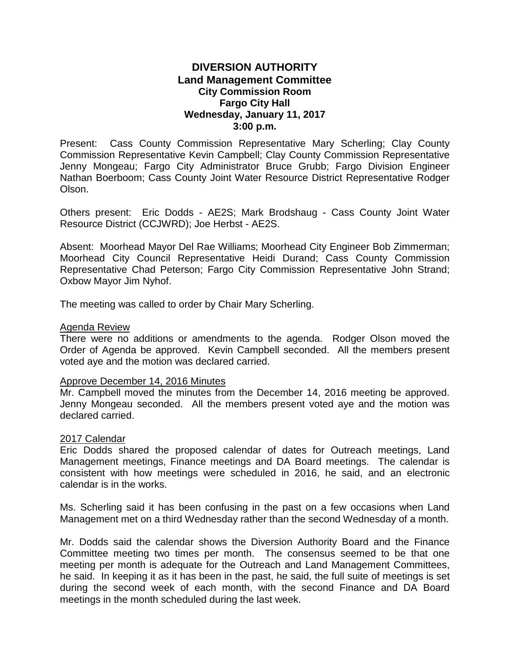# **DIVERSION AUTHORITY Land Management Committee City Commission Room Fargo City Hall Wednesday, January 11, 2017 3:00 p.m.**

Present: Cass County Commission Representative Mary Scherling; Clay County Commission Representative Kevin Campbell; Clay County Commission Representative Jenny Mongeau; Fargo City Administrator Bruce Grubb; Fargo Division Engineer Nathan Boerboom; Cass County Joint Water Resource District Representative Rodger Olson.

Others present: Eric Dodds - AE2S; Mark Brodshaug - Cass County Joint Water Resource District (CCJWRD); Joe Herbst - AE2S.

Absent: Moorhead Mayor Del Rae Williams; Moorhead City Engineer Bob Zimmerman; Moorhead City Council Representative Heidi Durand; Cass County Commission Representative Chad Peterson; Fargo City Commission Representative John Strand; Oxbow Mayor Jim Nyhof.

The meeting was called to order by Chair Mary Scherling.

#### Agenda Review

There were no additions or amendments to the agenda. Rodger Olson moved the Order of Agenda be approved. Kevin Campbell seconded. All the members present voted aye and the motion was declared carried.

### Approve December 14, 2016 Minutes

Mr. Campbell moved the minutes from the December 14, 2016 meeting be approved. Jenny Mongeau seconded. All the members present voted aye and the motion was declared carried.

### 2017 Calendar

Eric Dodds shared the proposed calendar of dates for Outreach meetings, Land Management meetings, Finance meetings and DA Board meetings. The calendar is consistent with how meetings were scheduled in 2016, he said, and an electronic calendar is in the works.

Ms. Scherling said it has been confusing in the past on a few occasions when Land Management met on a third Wednesday rather than the second Wednesday of a month.

Mr. Dodds said the calendar shows the Diversion Authority Board and the Finance Committee meeting two times per month. The consensus seemed to be that one meeting per month is adequate for the Outreach and Land Management Committees, he said. In keeping it as it has been in the past, he said, the full suite of meetings is set during the second week of each month, with the second Finance and DA Board meetings in the month scheduled during the last week.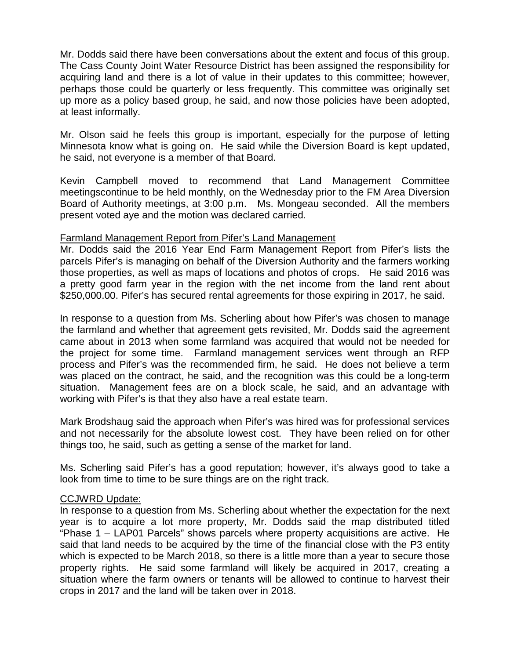Mr. Dodds said there have been conversations about the extent and focus of this group. The Cass County Joint Water Resource District has been assigned the responsibility for acquiring land and there is a lot of value in their updates to this committee; however, perhaps those could be quarterly or less frequently. This committee was originally set up more as a policy based group, he said, and now those policies have been adopted, at least informally.

Mr. Olson said he feels this group is important, especially for the purpose of letting Minnesota know what is going on. He said while the Diversion Board is kept updated, he said, not everyone is a member of that Board.

Kevin Campbell moved to recommend that Land Management Committee meetingscontinue to be held monthly, on the Wednesday prior to the FM Area Diversion Board of Authority meetings, at 3:00 p.m. Ms. Mongeau seconded. All the members present voted aye and the motion was declared carried.

# Farmland Management Report from Pifer's Land Management

Mr. Dodds said the 2016 Year End Farm Management Report from Pifer's lists the parcels Pifer's is managing on behalf of the Diversion Authority and the farmers working those properties, as well as maps of locations and photos of crops. He said 2016 was a pretty good farm year in the region with the net income from the land rent about \$250,000.00. Pifer's has secured rental agreements for those expiring in 2017, he said.

In response to a question from Ms. Scherling about how Pifer's was chosen to manage the farmland and whether that agreement gets revisited, Mr. Dodds said the agreement came about in 2013 when some farmland was acquired that would not be needed for the project for some time. Farmland management services went through an RFP process and Pifer's was the recommended firm, he said. He does not believe a term was placed on the contract, he said, and the recognition was this could be a long-term situation. Management fees are on a block scale, he said, and an advantage with working with Pifer's is that they also have a real estate team.

Mark Brodshaug said the approach when Pifer's was hired was for professional services and not necessarily for the absolute lowest cost. They have been relied on for other things too, he said, such as getting a sense of the market for land.

Ms. Scherling said Pifer's has a good reputation; however, it's always good to take a look from time to time to be sure things are on the right track.

# CCJWRD Update:

In response to a question from Ms. Scherling about whether the expectation for the next year is to acquire a lot more property, Mr. Dodds said the map distributed titled "Phase 1 – LAP01 Parcels" shows parcels where property acquisitions are active. He said that land needs to be acquired by the time of the financial close with the P3 entity which is expected to be March 2018, so there is a little more than a year to secure those property rights. He said some farmland will likely be acquired in 2017, creating a situation where the farm owners or tenants will be allowed to continue to harvest their crops in 2017 and the land will be taken over in 2018.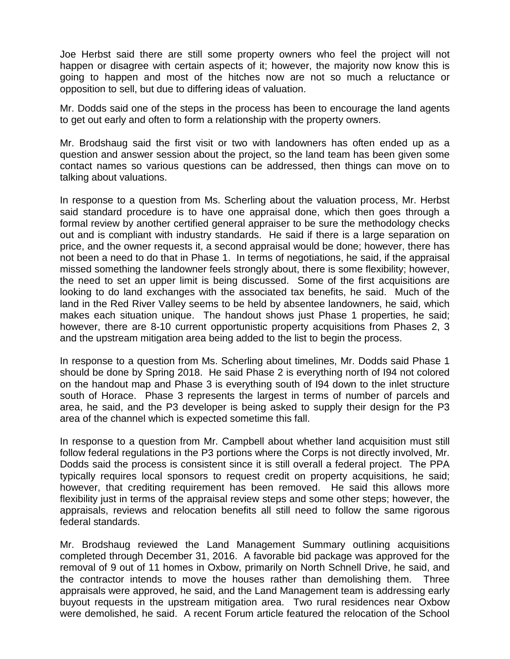Joe Herbst said there are still some property owners who feel the project will not happen or disagree with certain aspects of it; however, the majority now know this is going to happen and most of the hitches now are not so much a reluctance or opposition to sell, but due to differing ideas of valuation.

Mr. Dodds said one of the steps in the process has been to encourage the land agents to get out early and often to form a relationship with the property owners.

Mr. Brodshaug said the first visit or two with landowners has often ended up as a question and answer session about the project, so the land team has been given some contact names so various questions can be addressed, then things can move on to talking about valuations.

In response to a question from Ms. Scherling about the valuation process, Mr. Herbst said standard procedure is to have one appraisal done, which then goes through a formal review by another certified general appraiser to be sure the methodology checks out and is compliant with industry standards. He said if there is a large separation on price, and the owner requests it, a second appraisal would be done; however, there has not been a need to do that in Phase 1. In terms of negotiations, he said, if the appraisal missed something the landowner feels strongly about, there is some flexibility; however, the need to set an upper limit is being discussed. Some of the first acquisitions are looking to do land exchanges with the associated tax benefits, he said. Much of the land in the Red River Valley seems to be held by absentee landowners, he said, which makes each situation unique. The handout shows just Phase 1 properties, he said; however, there are 8-10 current opportunistic property acquisitions from Phases 2, 3 and the upstream mitigation area being added to the list to begin the process.

In response to a question from Ms. Scherling about timelines, Mr. Dodds said Phase 1 should be done by Spring 2018. He said Phase 2 is everything north of I94 not colored on the handout map and Phase 3 is everything south of I94 down to the inlet structure south of Horace. Phase 3 represents the largest in terms of number of parcels and area, he said, and the P3 developer is being asked to supply their design for the P3 area of the channel which is expected sometime this fall.

In response to a question from Mr. Campbell about whether land acquisition must still follow federal regulations in the P3 portions where the Corps is not directly involved, Mr. Dodds said the process is consistent since it is still overall a federal project. The PPA typically requires local sponsors to request credit on property acquisitions, he said; however, that crediting requirement has been removed. He said this allows more flexibility just in terms of the appraisal review steps and some other steps; however, the appraisals, reviews and relocation benefits all still need to follow the same rigorous federal standards.

Mr. Brodshaug reviewed the Land Management Summary outlining acquisitions completed through December 31, 2016. A favorable bid package was approved for the removal of 9 out of 11 homes in Oxbow, primarily on North Schnell Drive, he said, and the contractor intends to move the houses rather than demolishing them. Three appraisals were approved, he said, and the Land Management team is addressing early buyout requests in the upstream mitigation area. Two rural residences near Oxbow were demolished, he said. A recent Forum article featured the relocation of the School